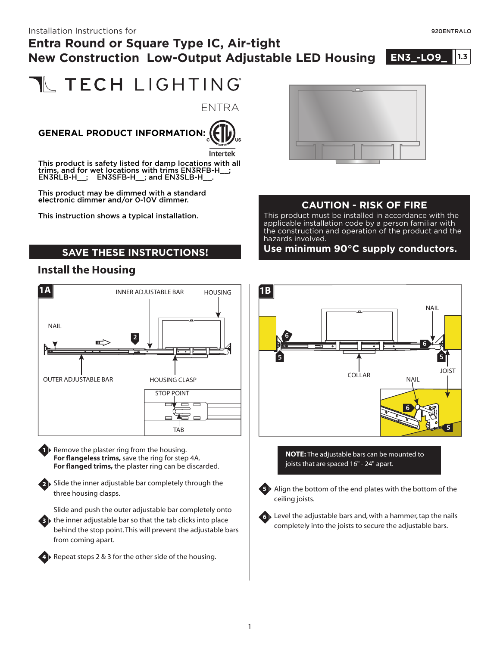**1.0**

#### Installation Instructions for  $\overline{920}$ ENTRALO

## **Entra Round or Square Type IC, Air-tight New Construction Low-Output Adjustable LED Housing**

# **IL TECH LIGHTING**

ENTRA

## **GENERAL PRODUCT INFORMATION:**



This product is safety listed for damp locations with all trims, and for wet locations with trims EN3RFB-H\_\_; EN3RLB-H : EN3SFB-H : and EN3SLB-H .

This product may be dimmed with a standard electronic dimmer and/or 0-10V dimmer.

This instruction shows a typical installation.

#### **SAVE THESE INSTRUCTIONS!**

#### **Install the Housing**



**1** ▶ Remove the plaster ring from the housing. **For flangeless trims,** save the ring for step 4A. **For flanged trims,** the plaster ring can be discarded.

Slide the inner adjustable bar completely through the **2** three housing clasps.

Slide and push the outer adjustable bar completely onto **3** the inner adjustable bar so that the tab clicks into place behind the stop point.This will prevent the adjustable bars from coming apart.



4 ▶ Repeat steps 2 & 3 for the other side of the housing.



#### **CAUTION - RISK OF FIRE**

This product must be installed in accordance with the applicable installation code by a person familiar with the construction and operation of the product and the hazards involved.

**Use minimum 90°C supply conductors.**



**NOTE:** The adjustable bars can be mounted to joists that are spaced 16" - 24" apart.



**5** ▶ Align the bottom of the end plates with the bottom of the ceiling joists.



Level the adjustable bars and, with a hammer, tap the nails **6** completely into the joists to secure the adjustable bars.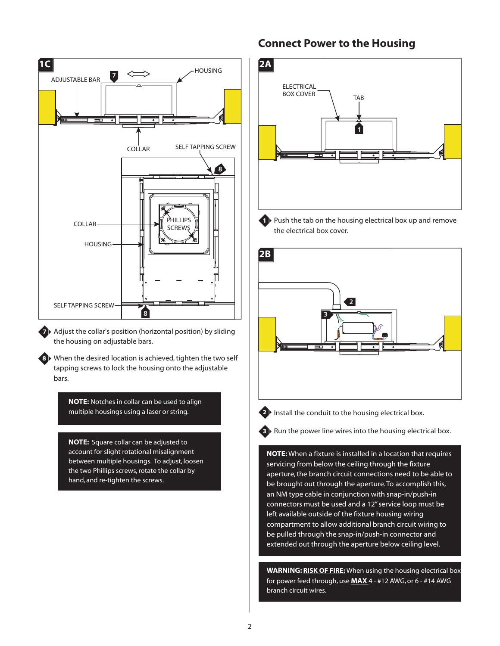

**7** Adjust the collar's position (horizontal position) by sliding the housing on adjustable bars.

When the desired location is achieved, tighten the two self **8** tapping screws to lock the housing onto the adjustable bars.

> **NOTE:** Notches in collar can be used to align multiple housings using a laser or string.

**NOTE:** Square collar can be adjusted to account for slight rotational misalignment between multiple housings. To adjust, loosen the two Phillips screws, rotate the collar by hand, and re-tighten the screws.

#### **Connect Power to the Housing**



**1** Push the tab on the housing electrical box up and remove the electrical box cover.





**2** Install the conduit to the housing electrical box.

**3** Run the power line wires into the housing electrical box.

**NOTE:** When a fixture is installed in a location that requires servicing from below the ceiling through the fixture aperture, the branch circuit connections need to be able to be brought out through the aperture.To accomplish this, an NM type cable in conjunction with snap-in/push-in connectors must be used and a 12" service loop must be left available outside of the fixture housing wiring compartment to allow additional branch circuit wiring to be pulled through the snap-in/push-in connector and extended out through the aperture below ceiling level.

**WARNING: RISK OF FIRE:** When using the housing electrical box for power feed through, use **MAX** 4 - #12 AWG, or 6 - #14 AWG branch circuit wires.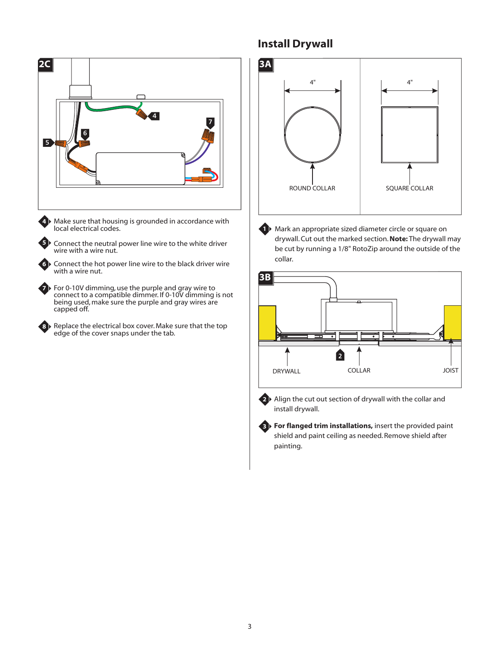

Make sure that housing is grounded in accordance with local electrical codes.

**4**

**5**

**6**

**7**

**8**

Connect the neutral power line wire to the white driver wire with a wire nut.

Connect the hot power line wire to the black driver wire with a wire nut.

For 0-10V dimming, use the purple and gray wire to connect to a compatible dimmer. If 0-10V dimming is not being used, make sure the purple and gray wires are capped off.

Replace the electrical box cover. Make sure that the top edge of the cover snaps under the tab.

### **Install Drywall**



**1** Mark an appropriate sized diameter circle or square on drywall. Cut out the marked section. Note: The drywall may be cut by running a 1/8" RotoZip around the outside of the collar.





**2** Align the cut out section of drywall with the collar and install drywall.

**For flanged trim installations,** insert the provided paint **3** shield and paint ceiling as needed. Remove shield after painting.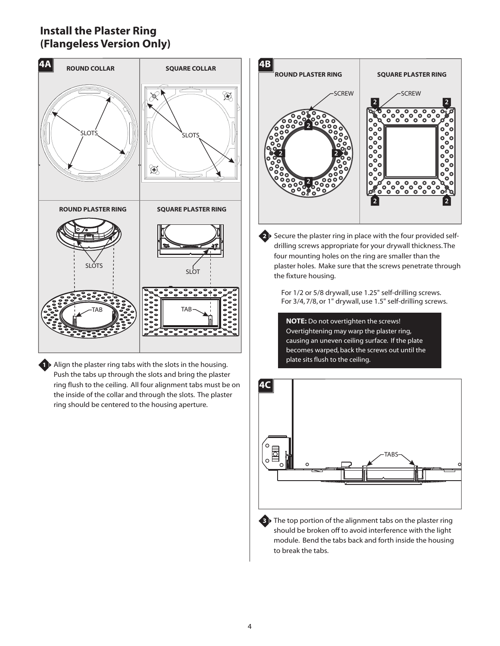#### **Install the Plaster Ring (Flangeless Version Only)**



**1** Align the plaster ring tabs with the slots in the housing. Push the tabs up through the slots and bring the plaster ring flush to the ceiling. All four alignment tabs must be on the inside of the collar and through the slots. The plaster ring should be centered to the housing aperture.



**2** Secure the plaster ring in place with the four provided selfdrilling screws appropriate for your drywall thickness.The four mounting holes on the ring are smaller than the plaster holes. Make sure that the screws penetrate through the fixture housing.

For 1/2 or 5/8 drywall, use 1.25" self-drilling screws. For 3/4, 7/8, or 1" drywall, use 1.5" self-drilling screws.

**NOTE:** Do not overtighten the screws! Overtightening may warp the plaster ring, causing an uneven ceiling surface. If the plate becomes warped, back the screws out until the plate sits flush to the ceiling.



**3** The top portion of the alignment tabs on the plaster ring should be broken off to avoid interference with the light module. Bend the tabs back and forth inside the housing to break the tabs.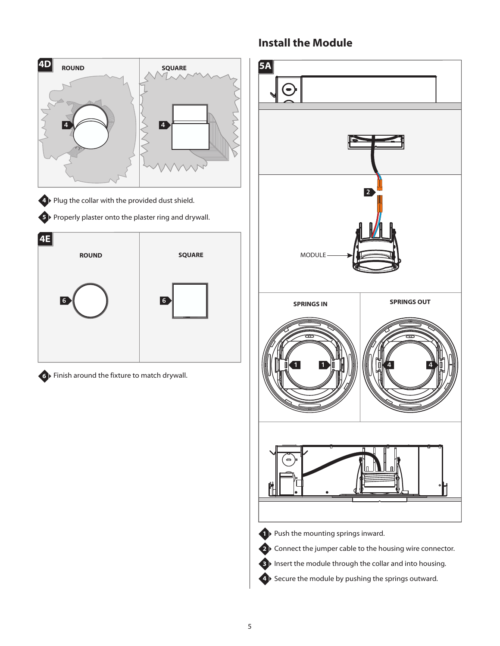

#### **Install the Module**

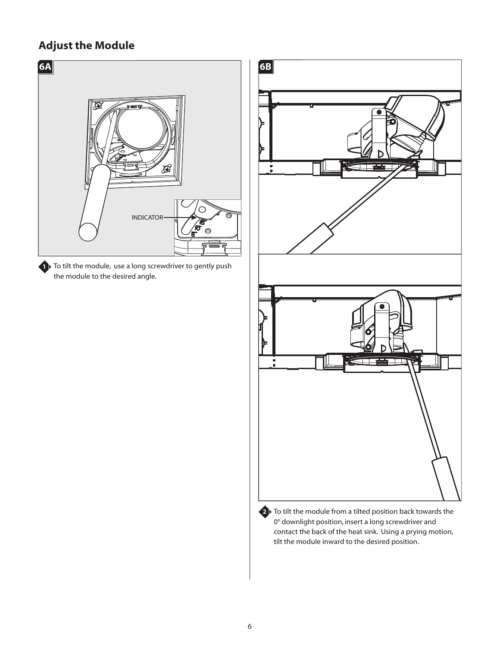## **Adjust the Module**



**1** To tilt the module, use a long screwdriver to gently push the module to the desired angle.



2<sup>)</sup> To tilt the module from a tilted position back towards the 0° downlight position, insert a long screwdriver and contact the back of the heat sink. Using a prying motion, tilt the module inward to the desired position.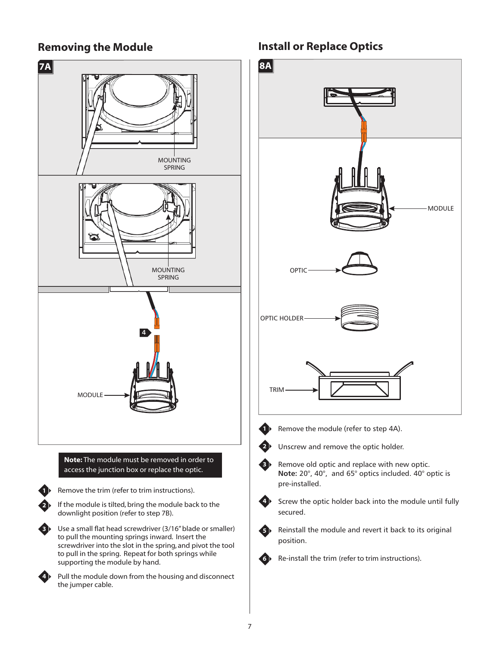#### **Removing the Module**



#### **Install or Replace Optics**